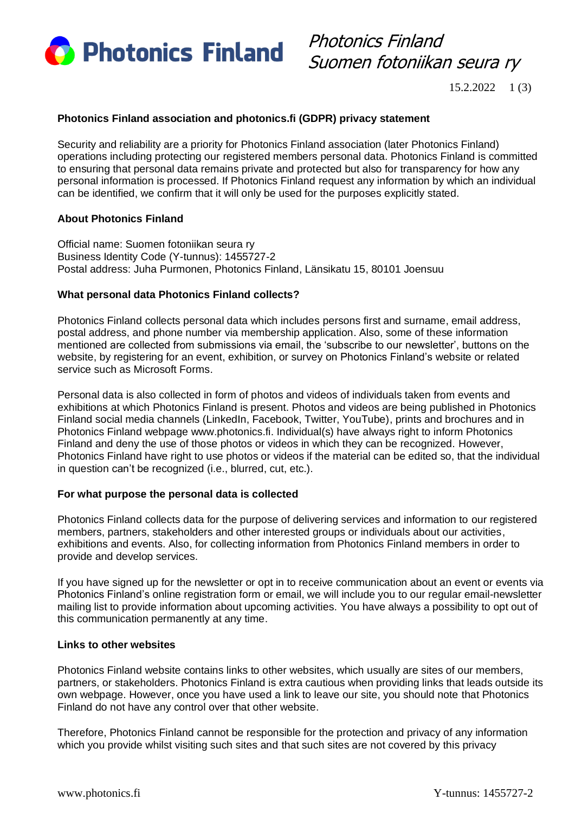

Photonics Finland Suomen fotoniikan seura ry

15.2.2022 1 (3)

## **Photonics Finland association and photonics.fi (GDPR) privacy statement**

Security and reliability are a priority for Photonics Finland association (later Photonics Finland) operations including protecting our registered members personal data. Photonics Finland is committed to ensuring that personal data remains private and protected but also for transparency for how any personal information is processed. If Photonics Finland request any information by which an individual can be identified, we confirm that it will only be used for the purposes explicitly stated.

## **About Photonics Finland**

Official name: Suomen fotoniikan seura ry Business Identity Code (Y-tunnus): 1455727-2 Postal address: Juha Purmonen, Photonics Finland, Länsikatu 15, 80101 Joensuu

## **What personal data Photonics Finland collects?**

Photonics Finland collects personal data which includes persons first and surname, email address, postal address, and phone number via membership application. Also, some of these information mentioned are collected from submissions via email, the 'subscribe to our newsletter', buttons on the website, by registering for an event, exhibition, or survey on Photonics Finland's website or related service such as Microsoft Forms.

Personal data is also collected in form of photos and videos of individuals taken from events and exhibitions at which Photonics Finland is present. Photos and videos are being published in Photonics Finland social media channels (LinkedIn, Facebook, Twitter, YouTube), prints and brochures and in Photonics Finland webpage www.photonics.fi. Individual(s) have always right to inform Photonics Finland and deny the use of those photos or videos in which they can be recognized. However, Photonics Finland have right to use photos or videos if the material can be edited so, that the individual in question can't be recognized (i.e., blurred, cut, etc.).

#### **For what purpose the personal data is collected**

Photonics Finland collects data for the purpose of delivering services and information to our registered members, partners, stakeholders and other interested groups or individuals about our activities, exhibitions and events. Also, for collecting information from Photonics Finland members in order to provide and develop services.

If you have signed up for the newsletter or opt in to receive communication about an event or events via Photonics Finland's online registration form or email, we will include you to our regular email-newsletter mailing list to provide information about upcoming activities. You have always a possibility to opt out of this communication permanently at any time.

#### **Links to other websites**

Photonics Finland website contains links to other websites, which usually are sites of our members, partners, or stakeholders. Photonics Finland is extra cautious when providing links that leads outside its own webpage. However, once you have used a link to leave our site, you should note that Photonics Finland do not have any control over that other website.

Therefore, Photonics Finland cannot be responsible for the protection and privacy of any information which you provide whilst visiting such sites and that such sites are not covered by this privacy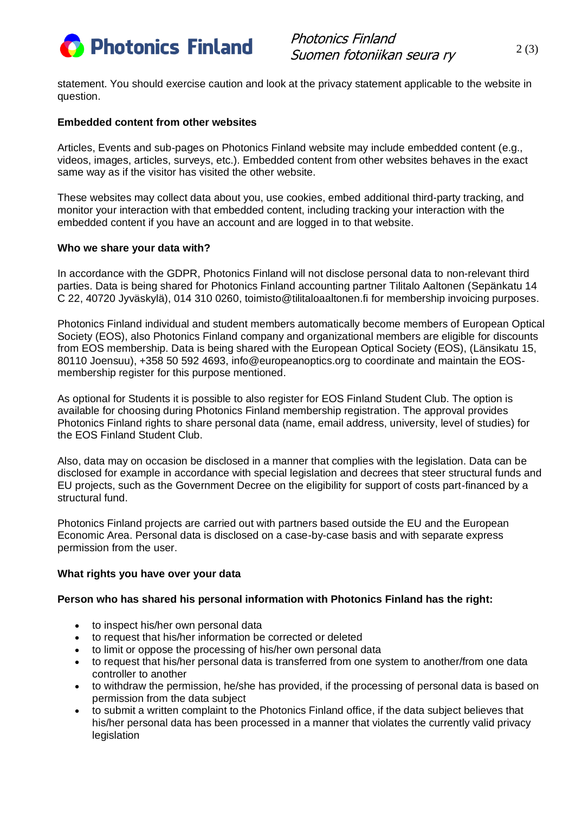

Photonics Finland Suomen fotoniikan seura ry

statement. You should exercise caution and look at the privacy statement applicable to the website in question.

## **Embedded content from other websites**

Articles, Events and sub-pages on Photonics Finland website may include embedded content (e.g., videos, images, articles, surveys, etc.). Embedded content from other websites behaves in the exact same way as if the visitor has visited the other website.

These websites may collect data about you, use cookies, embed additional third-party tracking, and monitor your interaction with that embedded content, including tracking your interaction with the embedded content if you have an account and are logged in to that website.

## **Who we share your data with?**

In accordance with the GDPR, Photonics Finland will not disclose personal data to non-relevant third parties. Data is being shared for Photonics Finland accounting partner Tilitalo Aaltonen (Sepänkatu 14 C 22, 40720 Jyväskylä), 014 310 0260, toimisto@tilitaloaaltonen.fi for membership invoicing purposes.

Photonics Finland individual and student members automatically become members of European Optical Society (EOS), also Photonics Finland company and organizational members are eligible for discounts from EOS membership. Data is being shared with the European Optical Society (EOS), (Länsikatu 15, 80110 Joensuu), +358 50 592 4693, info@europeanoptics.org to coordinate and maintain the EOSmembership register for this purpose mentioned.

As optional for Students it is possible to also register for EOS Finland Student Club. The option is available for choosing during Photonics Finland membership registration. The approval provides Photonics Finland rights to share personal data (name, email address, university, level of studies) for the EOS Finland Student Club.

Also, data may on occasion be disclosed in a manner that complies with the legislation. Data can be disclosed for example in accordance with special legislation and decrees that steer structural funds and EU projects, such as the Government Decree on the eligibility for support of costs part-financed by a structural fund.

Photonics Finland projects are carried out with partners based outside the EU and the European Economic Area. Personal data is disclosed on a case-by-case basis and with separate express permission from the user.

#### **What rights you have over your data**

# **Person who has shared his personal information with Photonics Finland has the right:**

- to inspect his/her own personal data
- to request that his/her information be corrected or deleted
- to limit or oppose the processing of his/her own personal data
- to request that his/her personal data is transferred from one system to another/from one data controller to another
- to withdraw the permission, he/she has provided, if the processing of personal data is based on permission from the data subject
- to submit a written complaint to the Photonics Finland office, if the data subject believes that his/her personal data has been processed in a manner that violates the currently valid privacy legislation